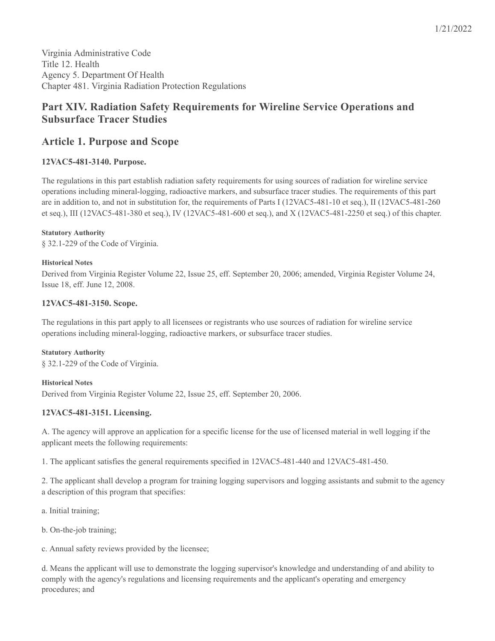Virginia Administrative Code Title 12. Health Agency 5. Department Of Health Chapter 481. Virginia Radiation Protection Regulations

# **Part XIV. Radiation Safety Requirements for Wireline Service Operations and Subsurface Tracer Studies**

# **Article 1. Purpose and Scope**

# **12VAC5-481-3140. Purpose.**

The regulations in this part establish radiation safety requirements for using sources of radiation for wireline service operations including mineral-logging, radioactive markers, and subsurface tracer studies. The requirements of this part are in addition to, and not in substitution for, the requirements of Parts I (12VAC5-481-10 et seq.), II (12VAC5-481-260 et seq.), III (12VAC5-481-380 et seq.), IV (12VAC5-481-600 et seq.), and X (12VAC5-481-2250 et seq.) of this chapter.

#### **Statutory Authority**

§ 32.1-229 of the Code of Virginia.

#### **Historical Notes**

Derived from Virginia Register Volume 22, Issue 25, eff. September 20, 2006; amended, Virginia Register Volume 24, Issue 18, eff. June 12, 2008.

## **12VAC5-481-3150. Scope.**

The regulations in this part apply to all licensees or registrants who use sources of radiation for wireline service operations including mineral-logging, radioactive markers, or subsurface tracer studies.

#### **Statutory Authority**

§ 32.1-229 of the Code of Virginia.

## **Historical Notes**

Derived from Virginia Register Volume 22, Issue 25, eff. September 20, 2006.

## **12VAC5-481-3151. Licensing.**

A. The agency will approve an application for a specific license for the use of licensed material in well logging if the applicant meets the following requirements:

1. The applicant satisfies the general requirements specified in 12VAC5-481-440 and 12VAC5-481-450.

2. The applicant shall develop a program for training logging supervisors and logging assistants and submit to the agency a description of this program that specifies:

a. Initial training;

b. On-the-job training;

c. Annual safety reviews provided by the licensee;

d. Means the applicant will use to demonstrate the logging supervisor's knowledge and understanding of and ability to comply with the agency's regulations and licensing requirements and the applicant's operating and emergency procedures; and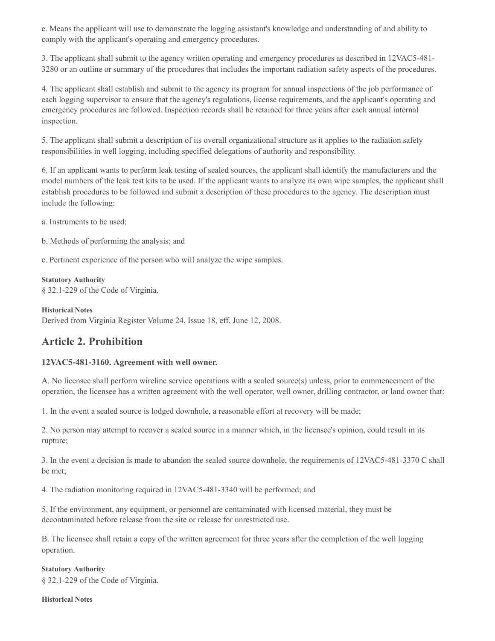e. Means the applicant will use to demonstrate the logging assistant's knowledge and understanding of and ability to comply with the applicant's operating and emergency procedures.

3. The applicant shall submit to the agency written operating and emergency procedures as described in 12VAC5-481- 3280 or an outline or summary of the procedures that includes the important radiation safety aspects of the procedures.

4. The applicant shall establish and submit to the agency its program for annual inspections of the job performance of each logging supervisor to ensure that the agency's regulations, license requirements, and the applicant's operating and emergency procedures are followed. Inspection records shall be retained for three years after each annual internal inspection.

5. The applicant shall submit a description of its overall organizational structure as it applies to the radiation safety responsibilities in well logging, including specified delegations of authority and responsibility.

6. If an applicant wants to perform leak testing of sealed sources, the applicant shall identify the manufacturers and the model numbers of the leak test kits to be used. If the applicant wants to analyze its own wipe samples, the applicant shall establish procedures to be followed and submit a description of these procedures to the agency. The description must include the following:

a. Instruments to be used;

b. Methods of performing the analysis; and

c. Pertinent experience of the person who will analyze the wipe samples.

#### **Statutory Authority**

§ 32.1-229 of the Code of Virginia.

**Historical Notes**

Derived from Virginia Register Volume 24, Issue 18, eff. June 12, 2008.

# **Article 2. Prohibition**

## **12VAC5-481-3160. Agreement with well owner.**

A. No licensee shall perform wireline service operations with a sealed source(s) unless, prior to commencement of the operation, the licensee has a written agreement with the well operator, well owner, drilling contractor, or land owner that:

1. In the event a sealed source is lodged downhole, a reasonable effort at recovery will be made;

2. No person may attempt to recover a sealed source in a manner which, in the licensee's opinion, could result in its rupture;

3. In the event a decision is made to abandon the sealed source downhole, the requirements of 12VAC5-481-3370 C shall be met;

4. The radiation monitoring required in 12VAC5-481-3340 will be performed; and

5. If the environment, any equipment, or personnel are contaminated with licensed material, they must be decontaminated before release from the site or release for unrestricted use.

B. The licensee shall retain a copy of the written agreement for three years after the completion of the well logging operation.

**Statutory Authority** § 32.1-229 of the Code of Virginia.

**Historical Notes**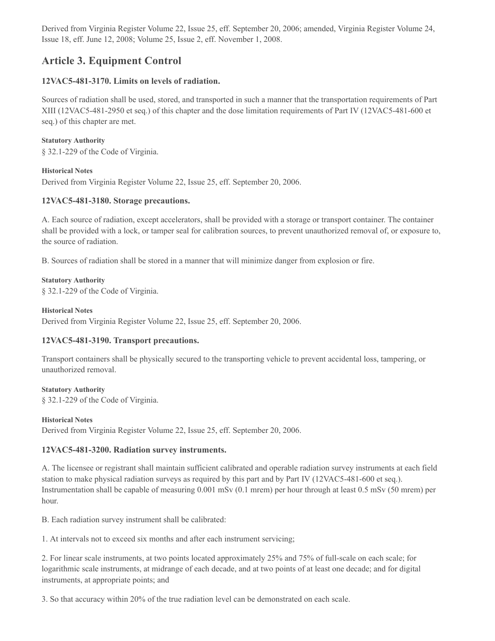Derived from Virginia Register Volume 22, Issue 25, eff. September 20, 2006; amended, Virginia Register Volume 24, Issue 18, eff. June 12, 2008; Volume 25, Issue 2, eff. November 1, 2008.

# **Article 3. Equipment Control**

## **12VAC5-481-3170. Limits on levels of radiation.**

Sources of radiation shall be used, stored, and transported in such a manner that the transportation requirements of Part XIII (12VAC5-481-2950 et seq.) of this chapter and the dose limitation requirements of Part IV (12VAC5-481-600 et seq.) of this chapter are met.

## **Statutory Authority**

§ 32.1-229 of the Code of Virginia.

## **Historical Notes**

Derived from Virginia Register Volume 22, Issue 25, eff. September 20, 2006.

# **12VAC5-481-3180. Storage precautions.**

A. Each source of radiation, except accelerators, shall be provided with a storage or transport container. The container shall be provided with a lock, or tamper seal for calibration sources, to prevent unauthorized removal of, or exposure to, the source of radiation.

B. Sources of radiation shall be stored in a manner that will minimize danger from explosion or fire.

## **Statutory Authority**

§ 32.1-229 of the Code of Virginia.

#### **Historical Notes**

Derived from Virginia Register Volume 22, Issue 25, eff. September 20, 2006.

# **12VAC5-481-3190. Transport precautions.**

Transport containers shall be physically secured to the transporting vehicle to prevent accidental loss, tampering, or unauthorized removal.

## **Statutory Authority**

§ 32.1-229 of the Code of Virginia.

## **Historical Notes**

Derived from Virginia Register Volume 22, Issue 25, eff. September 20, 2006.

# **12VAC5-481-3200. Radiation survey instruments.**

A. The licensee or registrant shall maintain sufficient calibrated and operable radiation survey instruments at each field station to make physical radiation surveys as required by this part and by Part IV (12VAC5-481-600 et seq.). Instrumentation shall be capable of measuring 0.001 mSv (0.1 mrem) per hour through at least 0.5 mSv (50 mrem) per hour.

B. Each radiation survey instrument shall be calibrated:

1. At intervals not to exceed six months and after each instrument servicing;

2. For linear scale instruments, at two points located approximately 25% and 75% of full-scale on each scale; for logarithmic scale instruments, at midrange of each decade, and at two points of at least one decade; and for digital instruments, at appropriate points; and

3. So that accuracy within 20% of the true radiation level can be demonstrated on each scale.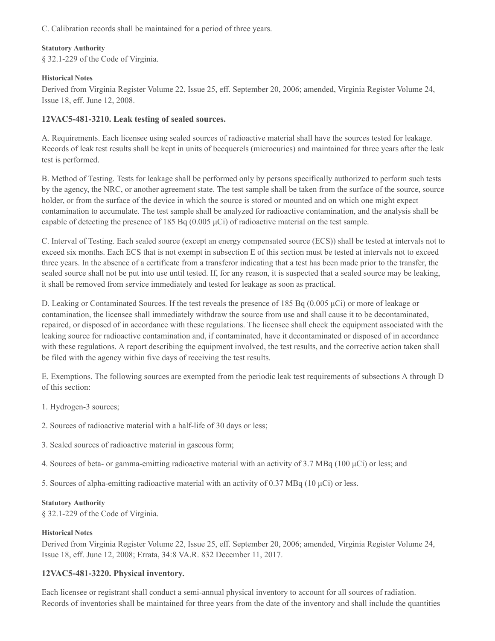C. Calibration records shall be maintained for a period of three years.

## **Statutory Authority**

§ 32.1-229 of the Code of Virginia.

## **Historical Notes**

Derived from Virginia Register Volume 22, Issue 25, eff. September 20, 2006; amended, Virginia Register Volume 24, Issue 18, eff. June 12, 2008.

# **12VAC5-481-3210. Leak testing of sealed sources.**

A. Requirements. Each licensee using sealed sources of radioactive material shall have the sources tested for leakage. Records of leak test results shall be kept in units of becquerels (microcuries) and maintained for three years after the leak test is performed.

B. Method of Testing. Tests for leakage shall be performed only by persons specifically authorized to perform such tests by the agency, the NRC, or another agreement state. The test sample shall be taken from the surface of the source, source holder, or from the surface of the device in which the source is stored or mounted and on which one might expect contamination to accumulate. The test sample shall be analyzed for radioactive contamination, and the analysis shall be capable of detecting the presence of 185 Bq  $(0.005 \,\mu\text{C})$  of radioactive material on the test sample.

C. Interval of Testing. Each sealed source (except an energy compensated source (ECS)) shall be tested at intervals not to exceed six months. Each ECS that is not exempt in subsection E of this section must be tested at intervals not to exceed three years. In the absence of a certificate from a transferor indicating that a test has been made prior to the transfer, the sealed source shall not be put into use until tested. If, for any reason, it is suspected that a sealed source may be leaking, it shall be removed from service immediately and tested for leakage as soon as practical.

D. Leaking or Contaminated Sources. If the test reveals the presence of 185 Bq (0.005 μCi) or more of leakage or contamination, the licensee shall immediately withdraw the source from use and shall cause it to be decontaminated, repaired, or disposed of in accordance with these regulations. The licensee shall check the equipment associated with the leaking source for radioactive contamination and, if contaminated, have it decontaminated or disposed of in accordance with these regulations. A report describing the equipment involved, the test results, and the corrective action taken shall be filed with the agency within five days of receiving the test results.

E. Exemptions. The following sources are exempted from the periodic leak test requirements of subsections A through D of this section:

- 1. Hydrogen-3 sources;
- 2. Sources of radioactive material with a half-life of 30 days or less;
- 3. Sealed sources of radioactive material in gaseous form;
- 4. Sources of beta- or gamma-emitting radioactive material with an activity of 3.7 MBq (100 μCi) or less; and

5. Sources of alpha-emitting radioactive material with an activity of 0.37 MBq (10 μCi) or less.

## **Statutory Authority**

§ 32.1-229 of the Code of Virginia.

## **Historical Notes**

Derived from Virginia Register Volume 22, Issue 25, eff. September 20, 2006; amended, Virginia Register Volume 24, Issue 18, eff. June 12, 2008; Errata, 34:8 VA.R. 832 December 11, 2017.

# **12VAC5-481-3220. Physical inventory.**

Each licensee or registrant shall conduct a semi-annual physical inventory to account for all sources of radiation. Records of inventories shall be maintained for three years from the date of the inventory and shall include the quantities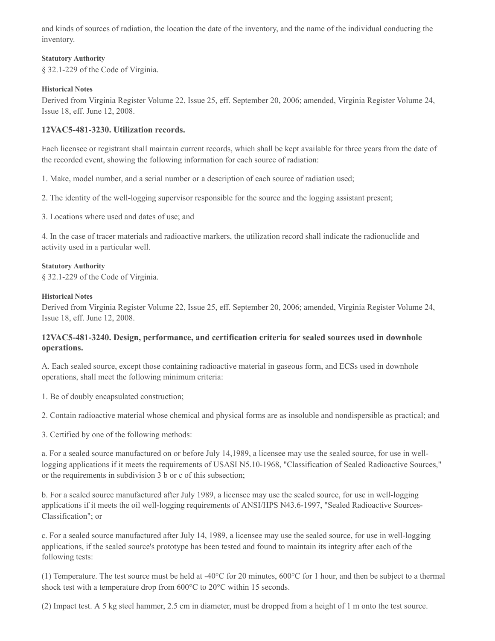and kinds of sources of radiation, the location the date of the inventory, and the name of the individual conducting the inventory.

#### **Statutory Authority**

§ 32.1-229 of the Code of Virginia.

#### **Historical Notes**

Derived from Virginia Register Volume 22, Issue 25, eff. September 20, 2006; amended, Virginia Register Volume 24, Issue 18, eff. June 12, 2008.

## **12VAC5-481-3230. Utilization records.**

Each licensee or registrant shall maintain current records, which shall be kept available for three years from the date of the recorded event, showing the following information for each source of radiation:

1. Make, model number, and a serial number or a description of each source of radiation used;

2. The identity of the well-logging supervisor responsible for the source and the logging assistant present;

3. Locations where used and dates of use; and

4. In the case of tracer materials and radioactive markers, the utilization record shall indicate the radionuclide and activity used in a particular well.

#### **Statutory Authority**

§ 32.1-229 of the Code of Virginia.

#### **Historical Notes**

Derived from Virginia Register Volume 22, Issue 25, eff. September 20, 2006; amended, Virginia Register Volume 24, Issue 18, eff. June 12, 2008.

## **12VAC5-481-3240. Design, performance, and certification criteria for sealed sources used in downhole operations.**

A. Each sealed source, except those containing radioactive material in gaseous form, and ECSs used in downhole operations, shall meet the following minimum criteria:

1. Be of doubly encapsulated construction;

2. Contain radioactive material whose chemical and physical forms are as insoluble and nondispersible as practical; and

3. Certified by one of the following methods:

a. For a sealed source manufactured on or before July 14,1989, a licensee may use the sealed source, for use in welllogging applications if it meets the requirements of USASI N5.10-1968, "Classification of Sealed Radioactive Sources," or the requirements in subdivision 3 b or c of this subsection;

b. For a sealed source manufactured after July 1989, a licensee may use the sealed source, for use in well-logging applications if it meets the oil well-logging requirements of ANSI/HPS N43.6-1997, "Sealed Radioactive Sources-Classification"; or

c. For a sealed source manufactured after July 14, 1989, a licensee may use the sealed source, for use in well-logging applications, if the sealed source's prototype has been tested and found to maintain its integrity after each of the following tests:

(1) Temperature. The test source must be held at -40 $^{\circ}$ C for 20 minutes, 600 $^{\circ}$ C for 1 hour, and then be subject to a thermal shock test with a temperature drop from 600°C to 20°C within 15 seconds.

(2) Impact test. A 5 kg steel hammer, 2.5 cm in diameter, must be dropped from a height of 1 m onto the test source.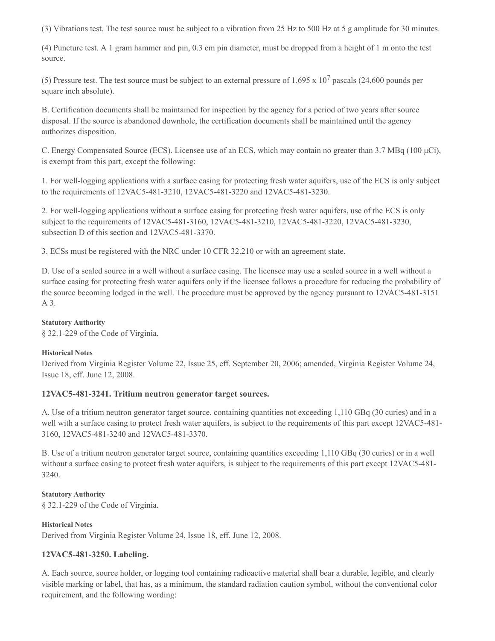(3) Vibrations test. The test source must be subject to a vibration from 25 Hz to 500 Hz at 5 g amplitude for 30 minutes.

(4) Puncture test. A 1 gram hammer and pin, 0.3 cm pin diameter, must be dropped from a height of 1 m onto the test source.

(5) Pressure test. The test source must be subject to an external pressure of 1.695 x  $10^7$  pascals (24,600 pounds per square inch absolute).

B. Certification documents shall be maintained for inspection by the agency for a period of two years after source disposal. If the source is abandoned downhole, the certification documents shall be maintained until the agency authorizes disposition.

C. Energy Compensated Source (ECS). Licensee use of an ECS, which may contain no greater than 3.7 MBq (100 μCi), is exempt from this part, except the following:

1. For well-logging applications with a surface casing for protecting fresh water aquifers, use of the ECS is only subject to the requirements of 12VAC5-481-3210, 12VAC5-481-3220 and 12VAC5-481-3230.

2. For well-logging applications without a surface casing for protecting fresh water aquifers, use of the ECS is only subject to the requirements of 12VAC5-481-3160, 12VAC5-481-3210, 12VAC5-481-3220, 12VAC5-481-3230, subsection D of this section and 12VAC5-481-3370.

3. ECSs must be registered with the NRC under 10 CFR 32.210 or with an agreement state.

D. Use of a sealed source in a well without a surface casing. The licensee may use a sealed source in a well without a surface casing for protecting fresh water aquifers only if the licensee follows a procedure for reducing the probability of the source becoming lodged in the well. The procedure must be approved by the agency pursuant to 12VAC5-481-3151 A 3.

#### **Statutory Authority**

§ 32.1-229 of the Code of Virginia.

## **Historical Notes**

Derived from Virginia Register Volume 22, Issue 25, eff. September 20, 2006; amended, Virginia Register Volume 24, Issue 18, eff. June 12, 2008.

## **12VAC5-481-3241. Tritium neutron generator target sources.**

A. Use of a tritium neutron generator target source, containing quantities not exceeding 1,110 GBq (30 curies) and in a well with a surface casing to protect fresh water aquifers, is subject to the requirements of this part except 12VAC5-481- 3160, 12VAC5-481-3240 and 12VAC5-481-3370.

B. Use of a tritium neutron generator target source, containing quantities exceeding 1,110 GBq (30 curies) or in a well without a surface casing to protect fresh water aquifers, is subject to the requirements of this part except  $12\text{VAC}5-481$ -3240.

# **Statutory Authority**

§ 32.1-229 of the Code of Virginia.

## **Historical Notes**

Derived from Virginia Register Volume 24, Issue 18, eff. June 12, 2008.

## **12VAC5-481-3250. Labeling.**

A. Each source, source holder, or logging tool containing radioactive material shall bear a durable, legible, and clearly visible marking or label, that has, as a minimum, the standard radiation caution symbol, without the conventional color requirement, and the following wording: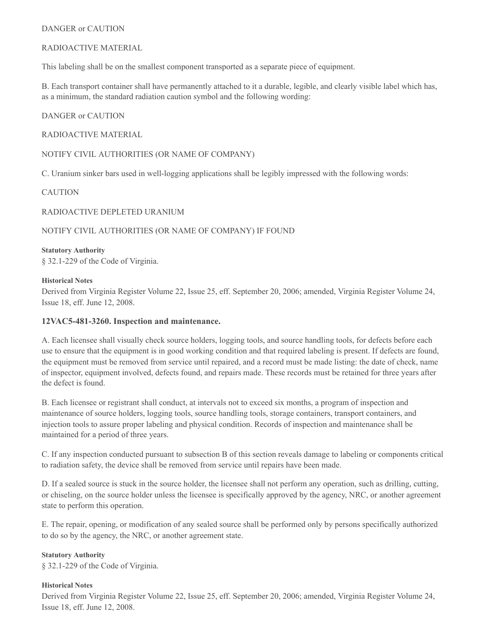#### DANGER or CAUTION

#### RADIOACTIVE MATERIAL

This labeling shall be on the smallest component transported as a separate piece of equipment.

B. Each transport container shall have permanently attached to it a durable, legible, and clearly visible label which has, as a minimum, the standard radiation caution symbol and the following wording:

#### DANGER or CAUTION

#### RADIOACTIVE MATERIAL

#### NOTIFY CIVIL AUTHORITIES (OR NAME OF COMPANY)

C. Uranium sinker bars used in well-logging applications shall be legibly impressed with the following words:

#### CAUTION

#### RADIOACTIVE DEPLETED URANIUM

## NOTIFY CIVIL AUTHORITIES (OR NAME OF COMPANY) IF FOUND

## **Statutory Authority** § 32.1-229 of the Code of Virginia.

#### **Historical Notes**

Derived from Virginia Register Volume 22, Issue 25, eff. September 20, 2006; amended, Virginia Register Volume 24, Issue 18, eff. June 12, 2008.

#### **12VAC5-481-3260. Inspection and maintenance.**

A. Each licensee shall visually check source holders, logging tools, and source handling tools, for defects before each use to ensure that the equipment is in good working condition and that required labeling is present. If defects are found, the equipment must be removed from service until repaired, and a record must be made listing: the date of check, name of inspector, equipment involved, defects found, and repairs made. These records must be retained for three years after the defect is found.

B. Each licensee or registrant shall conduct, at intervals not to exceed six months, a program of inspection and maintenance of source holders, logging tools, source handling tools, storage containers, transport containers, and injection tools to assure proper labeling and physical condition. Records of inspection and maintenance shall be maintained for a period of three years.

C. If any inspection conducted pursuant to subsection B of this section reveals damage to labeling or components critical to radiation safety, the device shall be removed from service until repairs have been made.

D. If a sealed source is stuck in the source holder, the licensee shall not perform any operation, such as drilling, cutting, or chiseling, on the source holder unless the licensee is specifically approved by the agency, NRC, or another agreement state to perform this operation.

E. The repair, opening, or modification of any sealed source shall be performed only by persons specifically authorized to do so by the agency, the NRC, or another agreement state.

## **Statutory Authority**

§ 32.1-229 of the Code of Virginia.

#### **Historical Notes**

Derived from Virginia Register Volume 22, Issue 25, eff. September 20, 2006; amended, Virginia Register Volume 24, Issue 18, eff. June 12, 2008.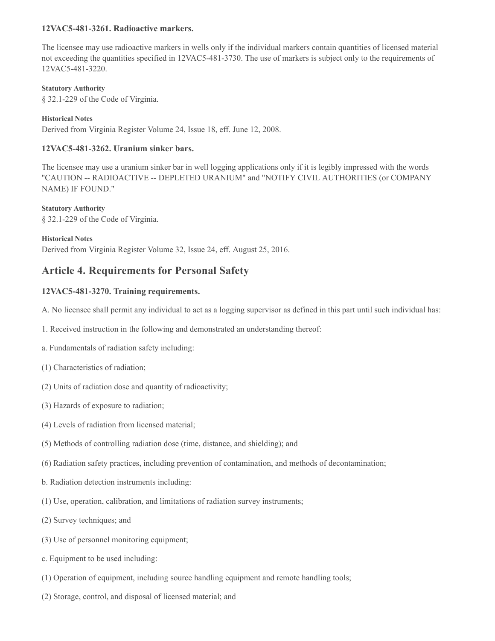#### **12VAC5-481-3261. Radioactive markers.**

The licensee may use radioactive markers in wells only if the individual markers contain quantities of licensed material not exceeding the quantities specified in 12VAC5-481-3730. The use of markers is subject only to the requirements of 12VAC5-481-3220.

**Statutory Authority**

§ 32.1-229 of the Code of Virginia.

**Historical Notes**

Derived from Virginia Register Volume 24, Issue 18, eff. June 12, 2008.

# **12VAC5-481-3262. Uranium sinker bars.**

The licensee may use a uranium sinker bar in well logging applications only if it is legibly impressed with the words "CAUTION -- RADIOACTIVE -- DEPLETED URANIUM" and "NOTIFY CIVIL AUTHORITIES (or COMPANY NAME) IF FOUND."

**Statutory Authority** § 32.1-229 of the Code of Virginia.

**Historical Notes**

Derived from Virginia Register Volume 32, Issue 24, eff. August 25, 2016.

# **Article 4. Requirements for Personal Safety**

## **12VAC5-481-3270. Training requirements.**

A. No licensee shall permit any individual to act as a logging supervisor as defined in this part until such individual has:

- 1. Received instruction in the following and demonstrated an understanding thereof:
- a. Fundamentals of radiation safety including:
- (1) Characteristics of radiation;
- (2) Units of radiation dose and quantity of radioactivity;
- (3) Hazards of exposure to radiation;
- (4) Levels of radiation from licensed material;
- (5) Methods of controlling radiation dose (time, distance, and shielding); and
- (6) Radiation safety practices, including prevention of contamination, and methods of decontamination;
- b. Radiation detection instruments including:
- (1) Use, operation, calibration, and limitations of radiation survey instruments;
- (2) Survey techniques; and
- (3) Use of personnel monitoring equipment;
- c. Equipment to be used including:
- (1) Operation of equipment, including source handling equipment and remote handling tools;
- (2) Storage, control, and disposal of licensed material; and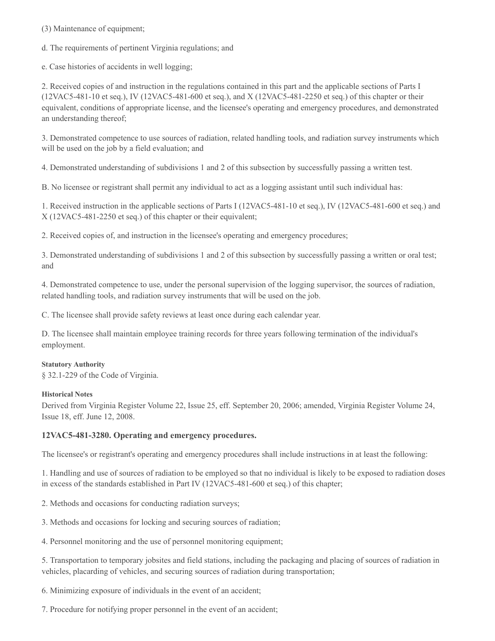(3) Maintenance of equipment;

d. The requirements of pertinent Virginia regulations; and

e. Case histories of accidents in well logging;

2. Received copies of and instruction in the regulations contained in this part and the applicable sections of Parts I (12VAC5-481-10 et seq.), IV (12VAC5-481-600 et seq.), and X (12VAC5-481-2250 et seq.) of this chapter or their equivalent, conditions of appropriate license, and the licensee's operating and emergency procedures, and demonstrated an understanding thereof;

3. Demonstrated competence to use sources of radiation, related handling tools, and radiation survey instruments which will be used on the job by a field evaluation; and

4. Demonstrated understanding of subdivisions 1 and 2 of this subsection by successfully passing a written test.

B. No licensee or registrant shall permit any individual to act as a logging assistant until such individual has:

1. Received instruction in the applicable sections of Parts I (12VAC5-481-10 et seq.), IV (12VAC5-481-600 et seq.) and X (12VAC5-481-2250 et seq.) of this chapter or their equivalent;

2. Received copies of, and instruction in the licensee's operating and emergency procedures;

3. Demonstrated understanding of subdivisions 1 and 2 of this subsection by successfully passing a written or oral test; and

4. Demonstrated competence to use, under the personal supervision of the logging supervisor, the sources of radiation, related handling tools, and radiation survey instruments that will be used on the job.

C. The licensee shall provide safety reviews at least once during each calendar year.

D. The licensee shall maintain employee training records for three years following termination of the individual's employment.

## **Statutory Authority**

§ 32.1-229 of the Code of Virginia.

## **Historical Notes**

Derived from Virginia Register Volume 22, Issue 25, eff. September 20, 2006; amended, Virginia Register Volume 24, Issue 18, eff. June 12, 2008.

## **12VAC5-481-3280. Operating and emergency procedures.**

The licensee's or registrant's operating and emergency procedures shall include instructions in at least the following:

1. Handling and use of sources of radiation to be employed so that no individual is likely to be exposed to radiation doses in excess of the standards established in Part IV (12VAC5-481-600 et seq.) of this chapter;

- 2. Methods and occasions for conducting radiation surveys;
- 3. Methods and occasions for locking and securing sources of radiation;

4. Personnel monitoring and the use of personnel monitoring equipment;

5. Transportation to temporary jobsites and field stations, including the packaging and placing of sources of radiation in vehicles, placarding of vehicles, and securing sources of radiation during transportation;

6. Minimizing exposure of individuals in the event of an accident;

7. Procedure for notifying proper personnel in the event of an accident;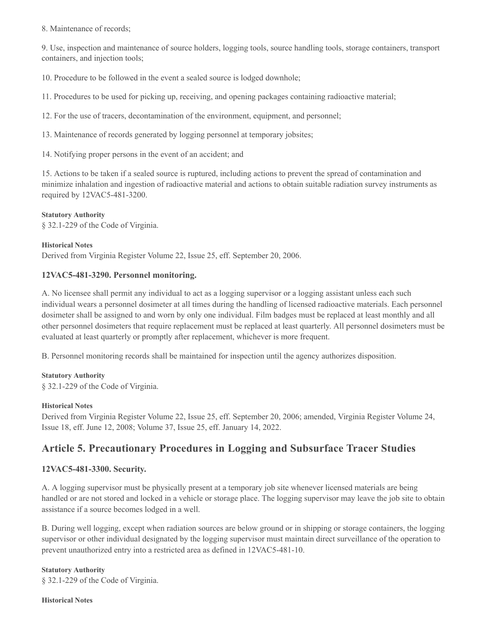8. Maintenance of records;

9. Use, inspection and maintenance of source holders, logging tools, source handling tools, storage containers, transport containers, and injection tools;

10. Procedure to be followed in the event a sealed source is lodged downhole;

11. Procedures to be used for picking up, receiving, and opening packages containing radioactive material;

12. For the use of tracers, decontamination of the environment, equipment, and personnel;

13. Maintenance of records generated by logging personnel at temporary jobsites;

14. Notifying proper persons in the event of an accident; and

15. Actions to be taken if a sealed source is ruptured, including actions to prevent the spread of contamination and minimize inhalation and ingestion of radioactive material and actions to obtain suitable radiation survey instruments as required by 12VAC5-481-3200.

#### **Statutory Authority**

§ 32.1-229 of the Code of Virginia.

#### **Historical Notes**

Derived from Virginia Register Volume 22, Issue 25, eff. September 20, 2006.

## **12VAC5-481-3290. Personnel monitoring.**

A. No licensee shall permit any individual to act as a logging supervisor or a logging assistant unless each such individual wears a personnel dosimeter at all times during the handling of licensed radioactive materials. Each personnel dosimeter shall be assigned to and worn by only one individual. Film badges must be replaced at least monthly and all other personnel dosimeters that require replacement must be replaced at least quarterly. All personnel dosimeters must be evaluated at least quarterly or promptly after replacement, whichever is more frequent.

B. Personnel monitoring records shall be maintained for inspection until the agency authorizes disposition.

#### **Statutory Authority**

§ 32.1-229 of the Code of Virginia.

#### **Historical Notes**

Derived from Virginia Register Volume 22, Issue 25, eff. September 20, 2006; amended, Virginia Register Volume 24, Issue 18, eff. June 12, 2008; Volume 37, Issue 25, eff. January 14, 2022.

# **Article 5. Precautionary Procedures in Logging and Subsurface Tracer Studies**

## **12VAC5-481-3300. Security.**

A. A logging supervisor must be physically present at a temporary job site whenever licensed materials are being handled or are not stored and locked in a vehicle or storage place. The logging supervisor may leave the job site to obtain assistance if a source becomes lodged in a well.

B. During well logging, except when radiation sources are below ground or in shipping or storage containers, the logging supervisor or other individual designated by the logging supervisor must maintain direct surveillance of the operation to prevent unauthorized entry into a restricted area as defined in 12VAC5-481-10.

**Statutory Authority** § 32.1-229 of the Code of Virginia.

**Historical Notes**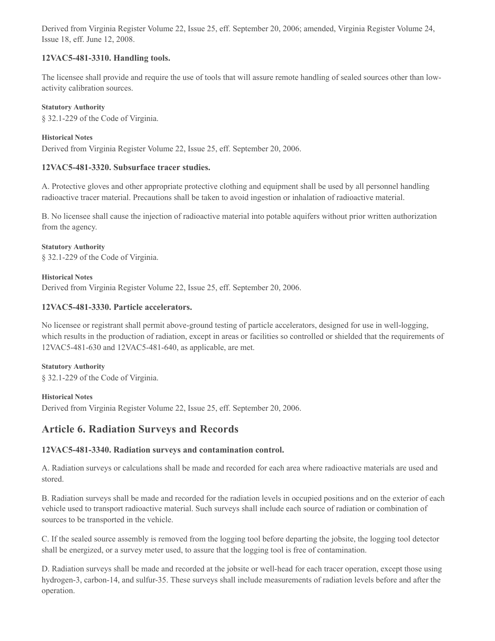Derived from Virginia Register Volume 22, Issue 25, eff. September 20, 2006; amended, Virginia Register Volume 24, Issue 18, eff. June 12, 2008.

# **12VAC5-481-3310. Handling tools.**

The licensee shall provide and require the use of tools that will assure remote handling of sealed sources other than lowactivity calibration sources.

#### **Statutory Authority**

§ 32.1-229 of the Code of Virginia.

## **Historical Notes**

Derived from Virginia Register Volume 22, Issue 25, eff. September 20, 2006.

## **12VAC5-481-3320. Subsurface tracer studies.**

A. Protective gloves and other appropriate protective clothing and equipment shall be used by all personnel handling radioactive tracer material. Precautions shall be taken to avoid ingestion or inhalation of radioactive material.

B. No licensee shall cause the injection of radioactive material into potable aquifers without prior written authorization from the agency.

## **Statutory Authority**

§ 32.1-229 of the Code of Virginia.

## **Historical Notes**

Derived from Virginia Register Volume 22, Issue 25, eff. September 20, 2006.

## **12VAC5-481-3330. Particle accelerators.**

No licensee or registrant shall permit above-ground testing of particle accelerators, designed for use in well-logging, which results in the production of radiation, except in areas or facilities so controlled or shielded that the requirements of 12VAC5-481-630 and 12VAC5-481-640, as applicable, are met.

#### **Statutory Authority**

§ 32.1-229 of the Code of Virginia.

## **Historical Notes**

Derived from Virginia Register Volume 22, Issue 25, eff. September 20, 2006.

# **Article 6. Radiation Surveys and Records**

# **12VAC5-481-3340. Radiation surveys and contamination control.**

A. Radiation surveys or calculations shall be made and recorded for each area where radioactive materials are used and stored.

B. Radiation surveys shall be made and recorded for the radiation levels in occupied positions and on the exterior of each vehicle used to transport radioactive material. Such surveys shall include each source of radiation or combination of sources to be transported in the vehicle.

C. If the sealed source assembly is removed from the logging tool before departing the jobsite, the logging tool detector shall be energized, or a survey meter used, to assure that the logging tool is free of contamination.

D. Radiation surveys shall be made and recorded at the jobsite or well-head for each tracer operation, except those using hydrogen-3, carbon-14, and sulfur-35. These surveys shall include measurements of radiation levels before and after the operation.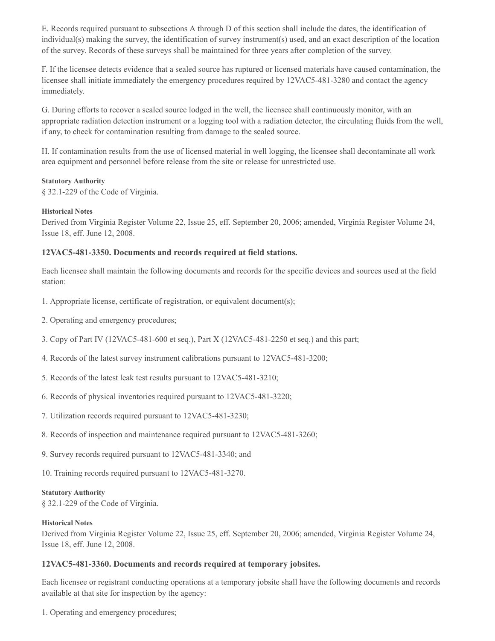E. Records required pursuant to subsections A through D of this section shall include the dates, the identification of individual(s) making the survey, the identification of survey instrument(s) used, and an exact description of the location of the survey. Records of these surveys shall be maintained for three years after completion of the survey.

F. If the licensee detects evidence that a sealed source has ruptured or licensed materials have caused contamination, the licensee shall initiate immediately the emergency procedures required by 12VAC5-481-3280 and contact the agency immediately.

G. During efforts to recover a sealed source lodged in the well, the licensee shall continuously monitor, with an appropriate radiation detection instrument or a logging tool with a radiation detector, the circulating fluids from the well, if any, to check for contamination resulting from damage to the sealed source.

H. If contamination results from the use of licensed material in well logging, the licensee shall decontaminate all work area equipment and personnel before release from the site or release for unrestricted use.

#### **Statutory Authority**

§ 32.1-229 of the Code of Virginia.

#### **Historical Notes**

Derived from Virginia Register Volume 22, Issue 25, eff. September 20, 2006; amended, Virginia Register Volume 24, Issue 18, eff. June 12, 2008.

#### **12VAC5-481-3350. Documents and records required at field stations.**

Each licensee shall maintain the following documents and records for the specific devices and sources used at the field station:

- 1. Appropriate license, certificate of registration, or equivalent document(s);
- 2. Operating and emergency procedures;
- 3. Copy of Part IV (12VAC5-481-600 et seq.), Part X (12VAC5-481-2250 et seq.) and this part;
- 4. Records of the latest survey instrument calibrations pursuant to 12VAC5-481-3200;
- 5. Records of the latest leak test results pursuant to 12VAC5-481-3210;
- 6. Records of physical inventories required pursuant to 12VAC5-481-3220;
- 7. Utilization records required pursuant to 12VAC5-481-3230;
- 8. Records of inspection and maintenance required pursuant to 12VAC5-481-3260;
- 9. Survey records required pursuant to 12VAC5-481-3340; and
- 10. Training records required pursuant to 12VAC5-481-3270.

#### **Statutory Authority**

§ 32.1-229 of the Code of Virginia.

#### **Historical Notes**

Derived from Virginia Register Volume 22, Issue 25, eff. September 20, 2006; amended, Virginia Register Volume 24, Issue 18, eff. June 12, 2008.

#### **12VAC5-481-3360. Documents and records required at temporary jobsites.**

Each licensee or registrant conducting operations at a temporary jobsite shall have the following documents and records available at that site for inspection by the agency:

1. Operating and emergency procedures;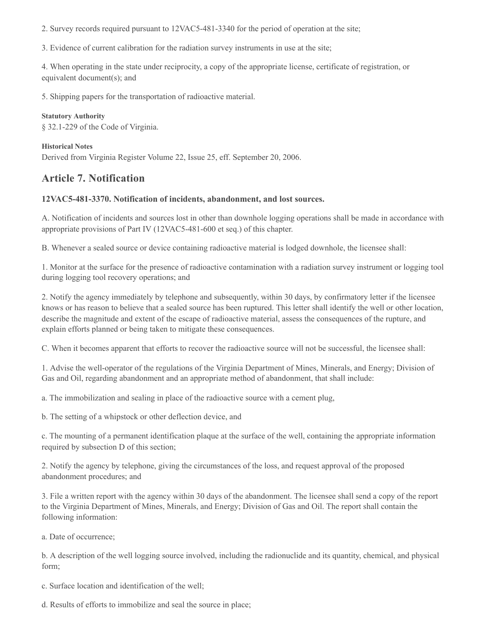2. Survey records required pursuant to 12VAC5-481-3340 for the period of operation at the site;

3. Evidence of current calibration for the radiation survey instruments in use at the site;

4. When operating in the state under reciprocity, a copy of the appropriate license, certificate of registration, or equivalent document(s); and

5. Shipping papers for the transportation of radioactive material.

**Statutory Authority** § 32.1-229 of the Code of Virginia.

**Historical Notes** Derived from Virginia Register Volume 22, Issue 25, eff. September 20, 2006.

# **Article 7. Notification**

## **12VAC5-481-3370. Notification of incidents, abandonment, and lost sources.**

A. Notification of incidents and sources lost in other than downhole logging operations shall be made in accordance with appropriate provisions of Part IV (12VAC5-481-600 et seq.) of this chapter.

B. Whenever a sealed source or device containing radioactive material is lodged downhole, the licensee shall:

1. Monitor at the surface for the presence of radioactive contamination with a radiation survey instrument or logging tool during logging tool recovery operations; and

2. Notify the agency immediately by telephone and subsequently, within 30 days, by confirmatory letter if the licensee knows or has reason to believe that a sealed source has been ruptured. This letter shall identify the well or other location, describe the magnitude and extent of the escape of radioactive material, assess the consequences of the rupture, and explain efforts planned or being taken to mitigate these consequences.

C. When it becomes apparent that efforts to recover the radioactive source will not be successful, the licensee shall:

1. Advise the well-operator of the regulations of the Virginia Department of Mines, Minerals, and Energy; Division of Gas and Oil, regarding abandonment and an appropriate method of abandonment, that shall include:

a. The immobilization and sealing in place of the radioactive source with a cement plug,

b. The setting of a whipstock or other deflection device, and

c. The mounting of a permanent identification plaque at the surface of the well, containing the appropriate information required by subsection D of this section;

2. Notify the agency by telephone, giving the circumstances of the loss, and request approval of the proposed abandonment procedures; and

3. File a written report with the agency within 30 days of the abandonment. The licensee shall send a copy of the report to the Virginia Department of Mines, Minerals, and Energy; Division of Gas and Oil. The report shall contain the following information:

a. Date of occurrence;

b. A description of the well logging source involved, including the radionuclide and its quantity, chemical, and physical form;

c. Surface location and identification of the well;

d. Results of efforts to immobilize and seal the source in place;